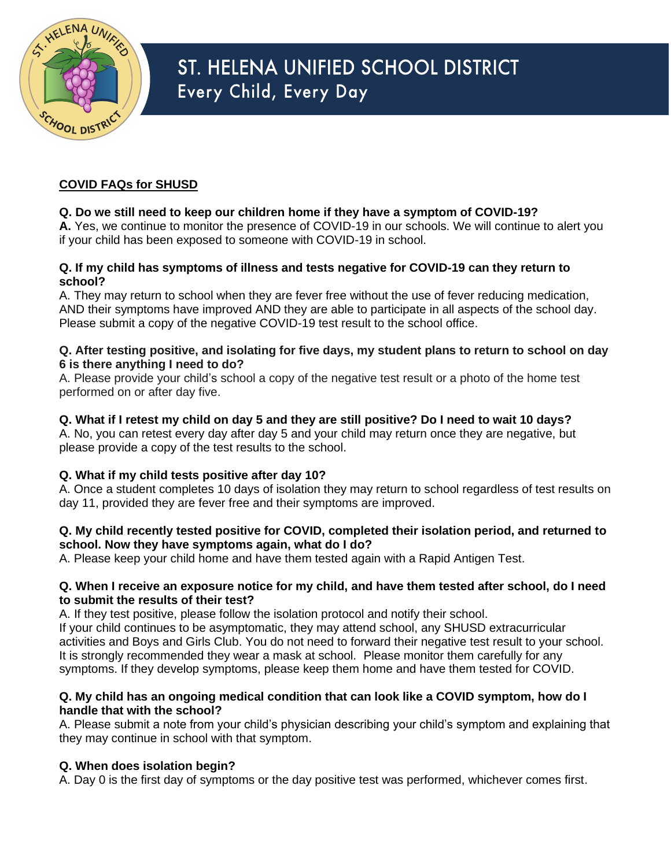

# ST. HELENA UNIFIED SCHOOL DISTRICT Every Child, Every Day

## **COVID FAQs for SHUSD**

## **Q. Do we still need to keep our children home if they have a symptom of COVID-19?**

**A.** Yes, we continue to monitor the presence of COVID-19 in our schools. We will continue to alert you if your child has been exposed to someone with COVID-19 in school.

#### **Q. If my child has symptoms of illness and tests negative for COVID-19 can they return to school?**

A. They may return to school when they are fever free without the use of fever reducing medication, AND their symptoms have improved AND they are able to participate in all aspects of the school day. Please submit a copy of the negative COVID-19 test result to the school office.

#### **Q. After testing positive, and isolating for five days, my student plans to return to school on day 6 is there anything I need to do?**

A. Please provide your child's school a copy of the negative test result or a photo of the home test performed on or after day five.

### **Q. What if I retest my child on day 5 and they are still positive? Do I need to wait 10 days?**

A. No, you can retest every day after day 5 and your child may return once they are negative, but please provide a copy of the test results to the school.

## **Q. What if my child tests positive after day 10?**

A. Once a student completes 10 days of isolation they may return to school regardless of test results on day 11, provided they are fever free and their symptoms are improved.

#### **Q. My child recently tested positive for COVID, completed their isolation period, and returned to school. Now they have symptoms again, what do I do?**

A. Please keep your child home and have them tested again with a Rapid Antigen Test.

#### **Q. When I receive an exposure notice for my child, and have them tested after school, do I need to submit the results of their test?**

A. If they test positive, please follow the isolation protocol and notify their school.

If your child continues to be asymptomatic, they may attend school, any SHUSD extracurricular activities and Boys and Girls Club. You do not need to forward their negative test result to your school. It is strongly recommended they wear a mask at school. Please monitor them carefully for any symptoms. If they develop symptoms, please keep them home and have them tested for COVID.

#### **Q. My child has an ongoing medical condition that can look like a COVID symptom, how do I handle that with the school?**

A. Please submit a note from your child's physician describing your child's symptom and explaining that they may continue in school with that symptom.

## **Q. When does isolation begin?**

A. Day 0 is the first day of symptoms or the day positive test was performed, whichever comes first.